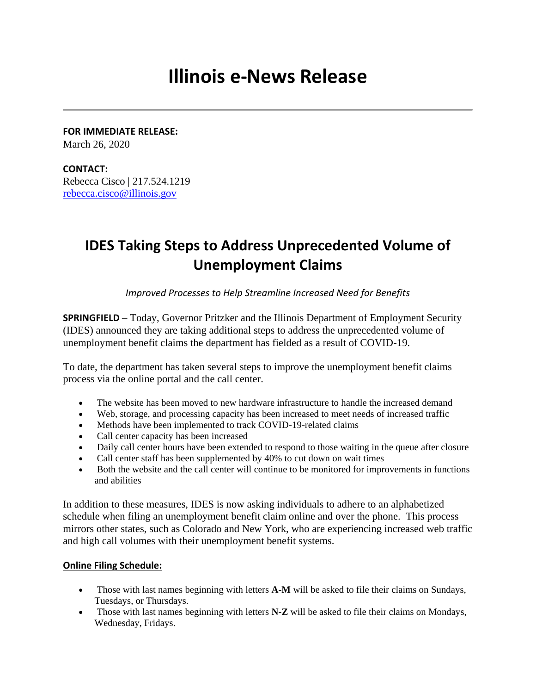# **Illinois e-News Release**

**FOR IMMEDIATE RELEASE:**  March 26, 2020

**CONTACT:** Rebecca Cisco | 217.524.1219 [rebecca.cisco@illinois.gov](mailto:rebecca.cisco@illinois.gov)

## **IDES Taking Steps to Address Unprecedented Volume of Unemployment Claims**

*Improved Processes to Help Streamline Increased Need for Benefits*

**SPRINGFIELD** – Today, Governor Pritzker and the Illinois Department of Employment Security (IDES) announced they are taking additional steps to address the unprecedented volume of unemployment benefit claims the department has fielded as a result of COVID-19.

To date, the department has taken several steps to improve the unemployment benefit claims process via the online portal and the call center.

- The website has been moved to new hardware infrastructure to handle the increased demand
- Web, storage, and processing capacity has been increased to meet needs of increased traffic
- Methods have been implemented to track COVID-19-related claims
- Call center capacity has been increased
- Daily call center hours have been extended to respond to those waiting in the queue after closure
- Call center staff has been supplemented by 40% to cut down on wait times
- Both the website and the call center will continue to be monitored for improvements in functions and abilities

In addition to these measures, IDES is now asking individuals to adhere to an alphabetized schedule when filing an unemployment benefit claim online and over the phone. This process mirrors other states, such as Colorado and New York, who are experiencing increased web traffic and high call volumes with their unemployment benefit systems.

#### **Online Filing Schedule:**

- Those with last names beginning with letters **A-M** will be asked to file their claims on Sundays, Tuesdays, or Thursdays.
- Those with last names beginning with letters **N-Z** will be asked to file their claims on Mondays, Wednesday, Fridays.